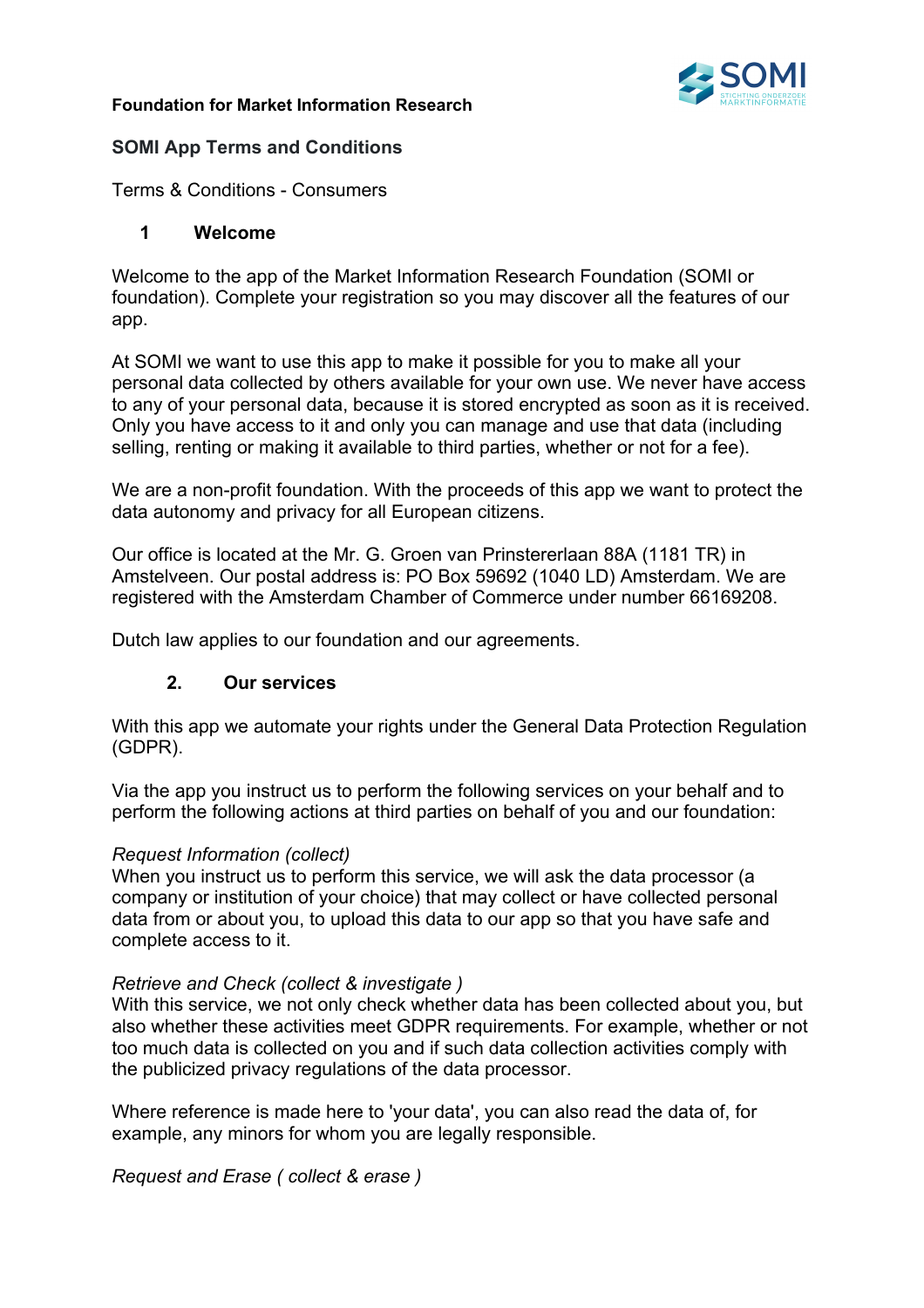#### **Foundation for Market Information Research**



### **SOMI App Terms and Conditions**

Terms & Conditions - Consumers

### **1 Welcome**

Welcome to the app of the Market Information Research Foundation (SOMI or foundation). Complete your registration so you may discover all the features of our app.

At SOMI we want to use this app to make it possible for you to make all your personal data collected by others available for your own use. We never have access to any of your personal data, because it is stored encrypted as soon as it is received. Only you have access to it and only you can manage and use that data (including selling, renting or making it available to third parties, whether or not for a fee).

We are a non-profit foundation. With the proceeds of this app we want to protect the data autonomy and privacy for all European citizens.

Our office is located at the Mr. G. Groen van Prinstererlaan 88A (1181 TR) in Amstelveen. Our postal address is: PO Box 59692 (1040 LD) Amsterdam. We are registered with the Amsterdam Chamber of Commerce under number 66169208.

Dutch law applies to our foundation and our agreements.

### **2. Our services**

With this app we automate your rights under the General Data Protection Regulation (GDPR).

Via the app you instruct us to perform the following services on your behalf and to perform the following actions at third parties on behalf of you and our foundation:

### *Request Information (collect)*

When you instruct us to perform this service, we will ask the data processor (a company or institution of your choice) that may collect or have collected personal data from or about you, to upload this data to our app so that you have safe and complete access to it.

### *Retrieve and Check (collect & investigate )*

With this service, we not only check whether data has been collected about you, but also whether these activities meet GDPR requirements. For example, whether or not too much data is collected on you and if such data collection activities comply with the publicized privacy regulations of the data processor.

Where reference is made here to 'your data', you can also read the data of, for example, any minors for whom you are legally responsible.

*Request and Erase ( collect & erase )*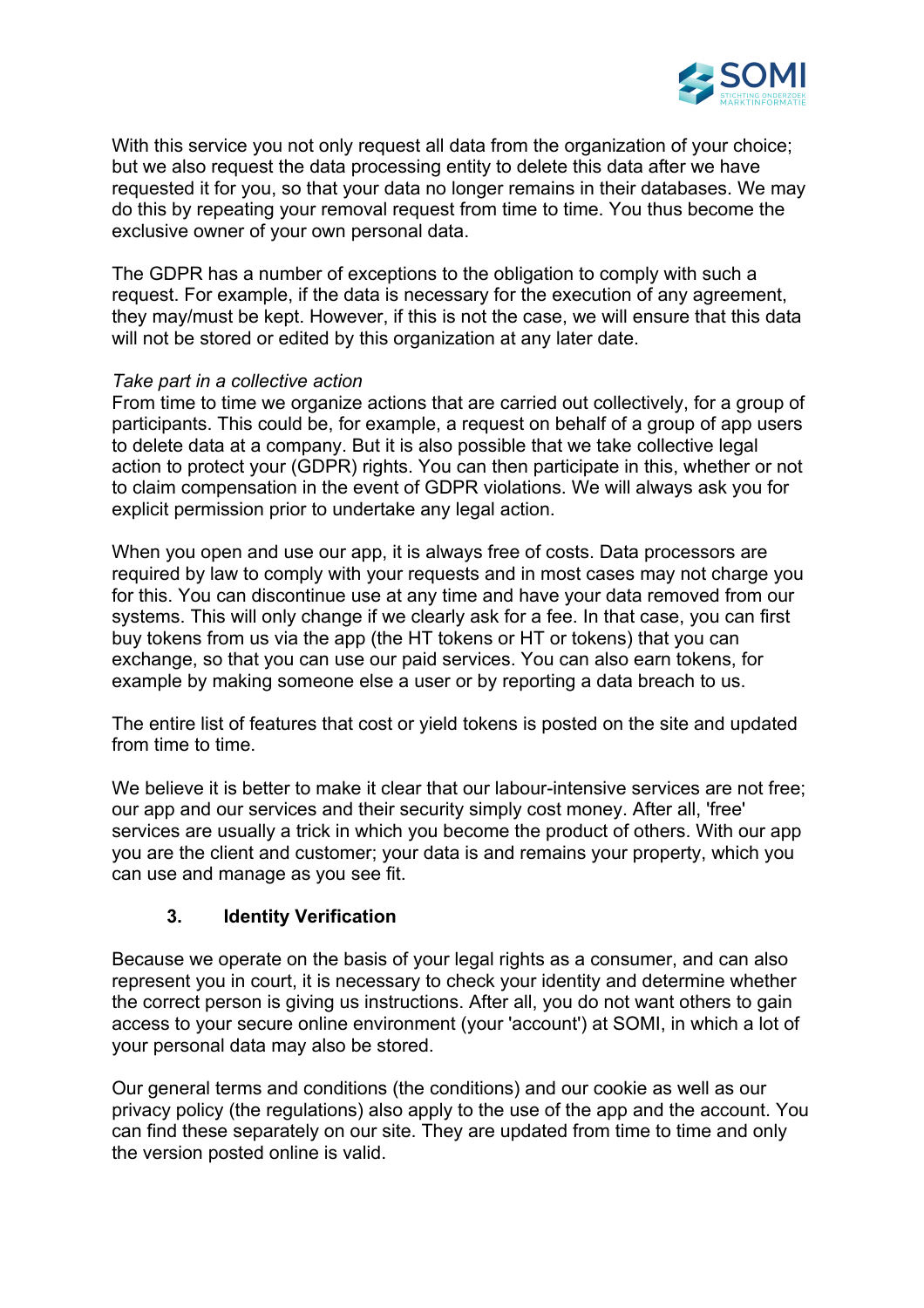

With this service you not only request all data from the organization of your choice; but we also request the data processing entity to delete this data after we have requested it for you, so that your data no longer remains in their databases. We may do this by repeating your removal request from time to time. You thus become the exclusive owner of your own personal data.

The GDPR has a number of exceptions to the obligation to comply with such a request. For example, if the data is necessary for the execution of any agreement, they may/must be kept. However, if this is not the case, we will ensure that this data will not be stored or edited by this organization at any later date.

### *Take part in a collective action*

From time to time we organize actions that are carried out collectively, for a group of participants. This could be, for example, a request on behalf of a group of app users to delete data at a company. But it is also possible that we take collective legal action to protect your (GDPR) rights. You can then participate in this, whether or not to claim compensation in the event of GDPR violations. We will always ask you for explicit permission prior to undertake any legal action.

When you open and use our app, it is always free of costs. Data processors are required by law to comply with your requests and in most cases may not charge you for this. You can discontinue use at any time and have your data removed from our systems. This will only change if we clearly ask for a fee. In that case, you can first buy tokens from us via the app (the HT tokens or HT or tokens) that you can exchange, so that you can use our paid services. You can also earn tokens, for example by making someone else a user or by reporting a data breach to us.

The entire list of features that cost or yield tokens is posted on the site and updated from time to time.

We believe it is better to make it clear that our labour-intensive services are not free; our app and our services and their security simply cost money. After all, 'free' services are usually a trick in which you become the product of others. With our app you are the client and customer; your data is and remains your property, which you can use and manage as you see fit.

### **3. Identity Verification**

Because we operate on the basis of your legal rights as a consumer, and can also represent you in court, it is necessary to check your identity and determine whether the correct person is giving us instructions. After all, you do not want others to gain access to your secure online environment (your 'account') at SOMI, in which a lot of your personal data may also be stored.

Our general terms and conditions (the conditions) and our cookie as well as our privacy policy (the regulations) also apply to the use of the app and the account. You can find these separately on our site. They are updated from time to time and only the version posted online is valid.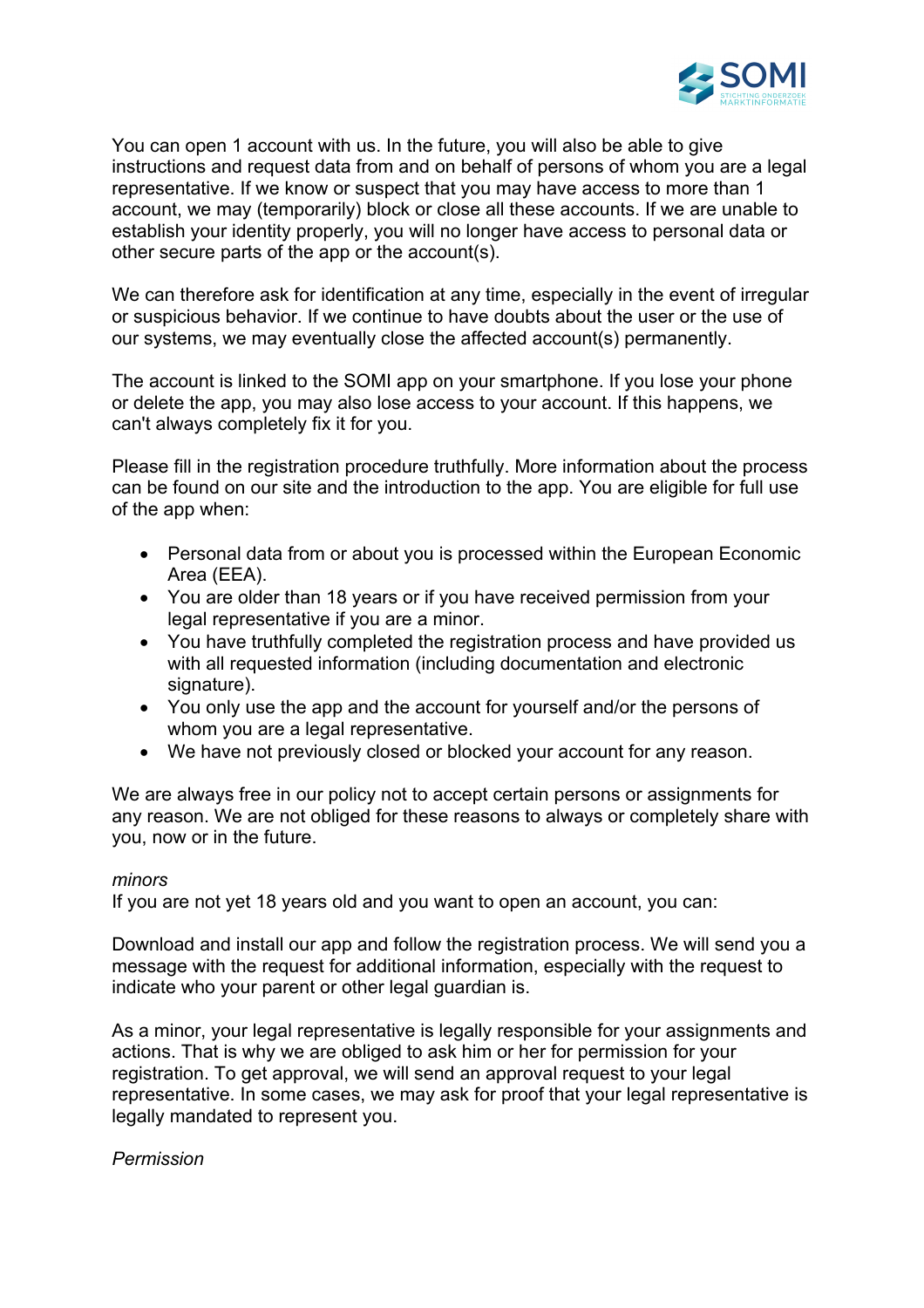

You can open 1 account with us. In the future, you will also be able to give instructions and request data from and on behalf of persons of whom you are a legal representative. If we know or suspect that you may have access to more than 1 account, we may (temporarily) block or close all these accounts. If we are unable to establish your identity properly, you will no longer have access to personal data or other secure parts of the app or the account(s).

We can therefore ask for identification at any time, especially in the event of irregular or suspicious behavior. If we continue to have doubts about the user or the use of our systems, we may eventually close the affected account(s) permanently.

The account is linked to the SOMI app on your smartphone. If you lose your phone or delete the app, you may also lose access to your account. If this happens, we can't always completely fix it for you.

Please fill in the registration procedure truthfully. More information about the process can be found on our site and the introduction to the app. You are eligible for full use of the app when:

- Personal data from or about you is processed within the European Economic Area (EEA).
- You are older than 18 years or if you have received permission from your legal representative if you are a minor.
- You have truthfully completed the registration process and have provided us with all requested information (including documentation and electronic signature).
- You only use the app and the account for yourself and/or the persons of whom you are a legal representative.
- We have not previously closed or blocked your account for any reason.

We are always free in our policy not to accept certain persons or assignments for any reason. We are not obliged for these reasons to always or completely share with you, now or in the future.

#### *minors*

If you are not yet 18 years old and you want to open an account, you can:

Download and install our app and follow the registration process. We will send you a message with the request for additional information, especially with the request to indicate who your parent or other legal guardian is.

As a minor, your legal representative is legally responsible for your assignments and actions. That is why we are obliged to ask him or her for permission for your registration. To get approval, we will send an approval request to your legal representative. In some cases, we may ask for proof that your legal representative is legally mandated to represent you.

#### *Permission*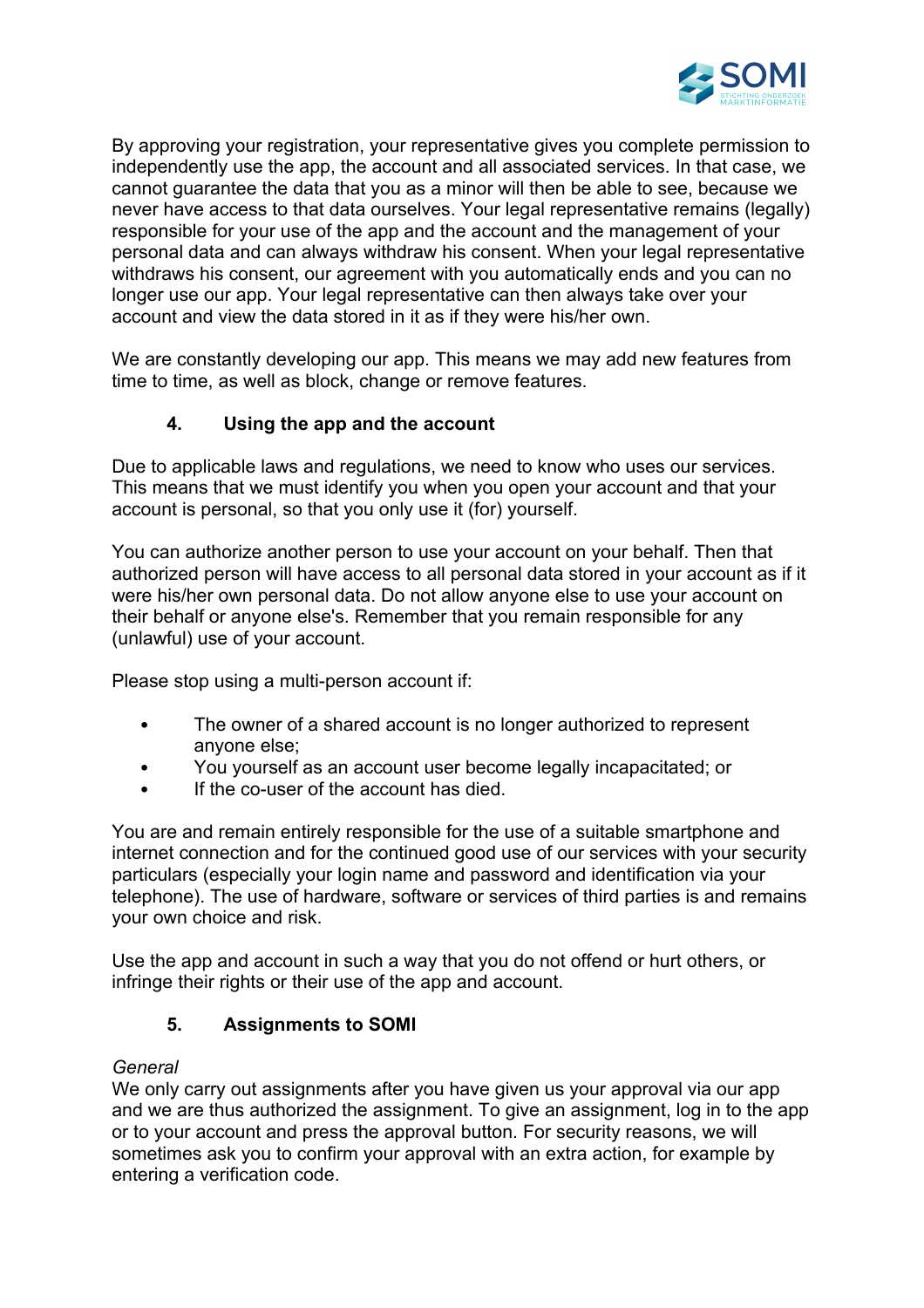

By approving your registration, your representative gives you complete permission to independently use the app, the account and all associated services. In that case, we cannot guarantee the data that you as a minor will then be able to see, because we never have access to that data ourselves. Your legal representative remains (legally) responsible for your use of the app and the account and the management of your personal data and can always withdraw his consent. When your legal representative withdraws his consent, our agreement with you automatically ends and you can no longer use our app. Your legal representative can then always take over your account and view the data stored in it as if they were his/her own.

We are constantly developing our app. This means we may add new features from time to time, as well as block, change or remove features.

## **4. Using the app and the account**

Due to applicable laws and regulations, we need to know who uses our services. This means that we must identify you when you open your account and that your account is personal, so that you only use it (for) yourself.

You can authorize another person to use your account on your behalf. Then that authorized person will have access to all personal data stored in your account as if it were his/her own personal data. Do not allow anyone else to use your account on their behalf or anyone else's. Remember that you remain responsible for any (unlawful) use of your account.

Please stop using a multi-person account if:

- The owner of a shared account is no longer authorized to represent anyone else;
- You yourself as an account user become legally incapacitated; or
- If the co-user of the account has died.

You are and remain entirely responsible for the use of a suitable smartphone and internet connection and for the continued good use of our services with your security particulars (especially your login name and password and identification via your telephone). The use of hardware, software or services of third parties is and remains your own choice and risk.

Use the app and account in such a way that you do not offend or hurt others, or infringe their rights or their use of the app and account.

### **5. Assignments to SOMI**

### *General*

We only carry out assignments after you have given us your approval via our app and we are thus authorized the assignment. To give an assignment, log in to the app or to your account and press the approval button. For security reasons, we will sometimes ask you to confirm your approval with an extra action, for example by entering a verification code.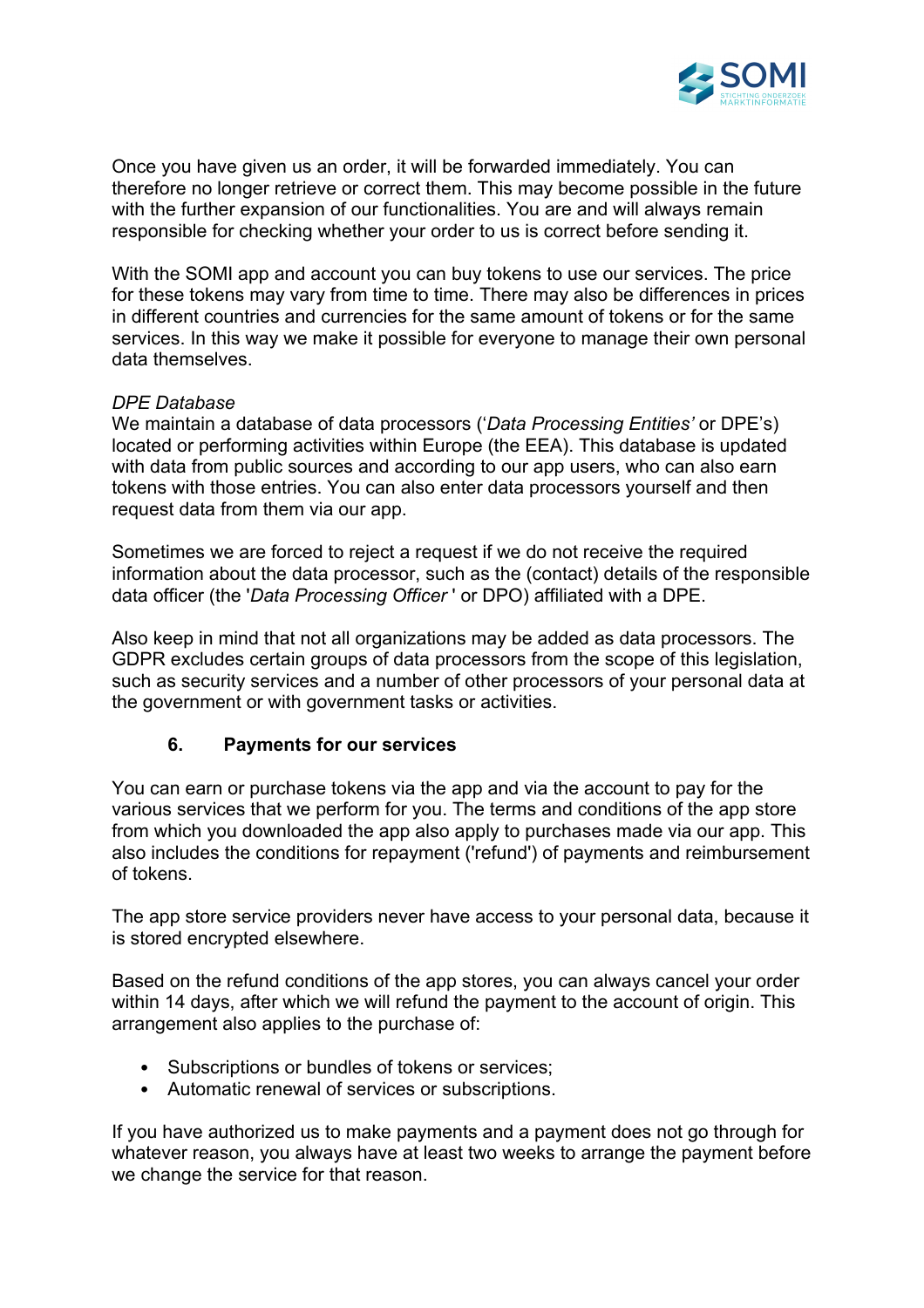

Once you have given us an order, it will be forwarded immediately. You can therefore no longer retrieve or correct them. This may become possible in the future with the further expansion of our functionalities. You are and will always remain responsible for checking whether your order to us is correct before sending it.

With the SOMI app and account you can buy tokens to use our services. The price for these tokens may vary from time to time. There may also be differences in prices in different countries and currencies for the same amount of tokens or for the same services. In this way we make it possible for everyone to manage their own personal data themselves.

#### *DPE Database*

We maintain a database of data processors ('*Data Processing Entities'* or DPE's) located or performing activities within Europe (the EEA). This database is updated with data from public sources and according to our app users, who can also earn tokens with those entries. You can also enter data processors yourself and then request data from them via our app.

Sometimes we are forced to reject a request if we do not receive the required information about the data processor, such as the (contact) details of the responsible data officer (the '*Data Processing Officer* ' or DPO) affiliated with a DPE.

Also keep in mind that not all organizations may be added as data processors. The GDPR excludes certain groups of data processors from the scope of this legislation, such as security services and a number of other processors of your personal data at the government or with government tasks or activities.

### **6. Payments for our services**

You can earn or purchase tokens via the app and via the account to pay for the various services that we perform for you. The terms and conditions of the app store from which you downloaded the app also apply to purchases made via our app. This also includes the conditions for repayment ('refund') of payments and reimbursement of tokens.

The app store service providers never have access to your personal data, because it is stored encrypted elsewhere.

Based on the refund conditions of the app stores, you can always cancel your order within 14 days, after which we will refund the payment to the account of origin. This arrangement also applies to the purchase of:

- Subscriptions or bundles of tokens or services;
- Automatic renewal of services or subscriptions.

If you have authorized us to make payments and a payment does not go through for whatever reason, you always have at least two weeks to arrange the payment before we change the service for that reason.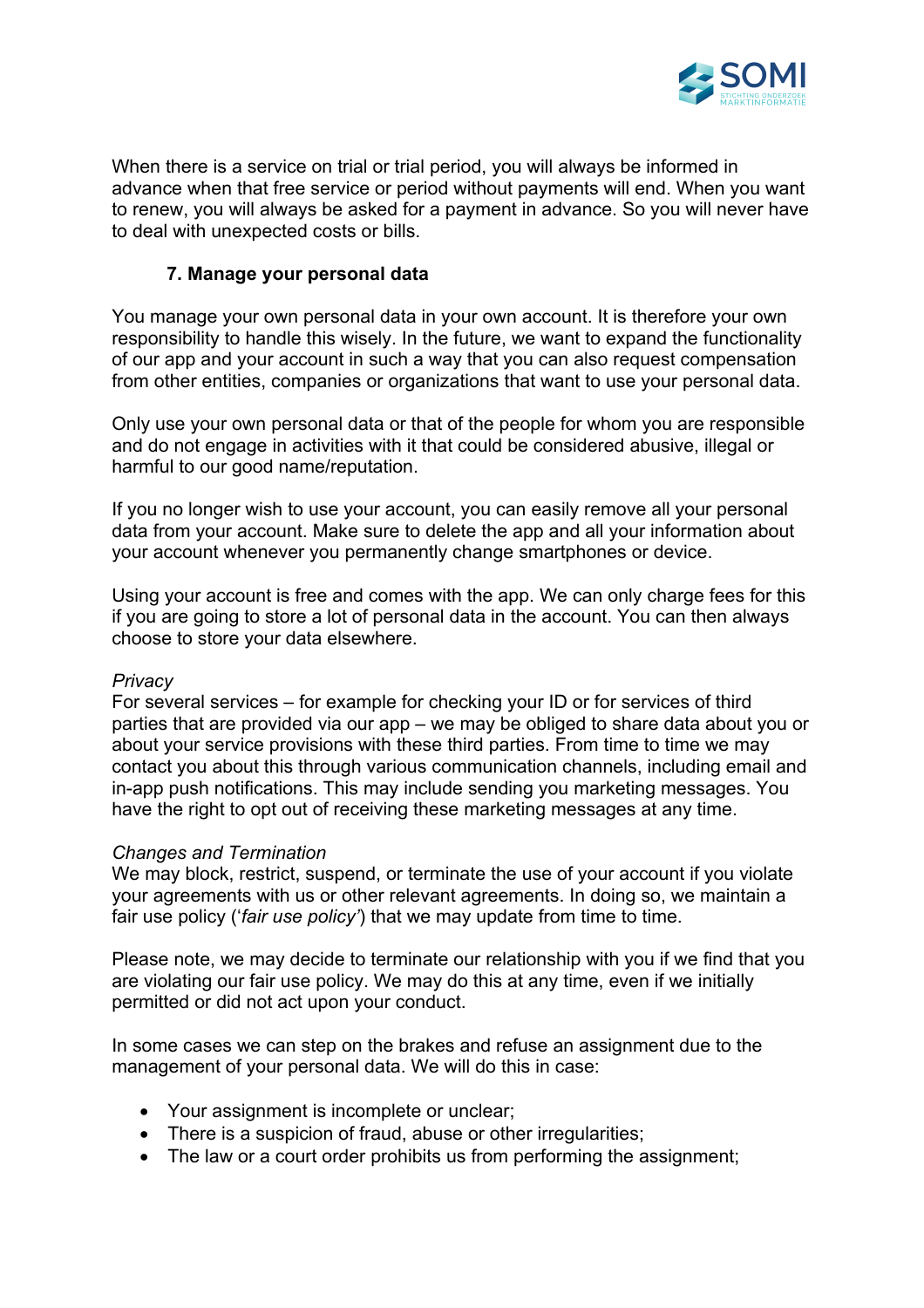

When there is a service on trial or trial period, you will always be informed in advance when that free service or period without payments will end. When you want to renew, you will always be asked for a payment in advance. So you will never have to deal with unexpected costs or bills.

### **7. Manage your personal data**

You manage your own personal data in your own account. It is therefore your own responsibility to handle this wisely. In the future, we want to expand the functionality of our app and your account in such a way that you can also request compensation from other entities, companies or organizations that want to use your personal data.

Only use your own personal data or that of the people for whom you are responsible and do not engage in activities with it that could be considered abusive, illegal or harmful to our good name/reputation.

If you no longer wish to use your account, you can easily remove all your personal data from your account. Make sure to delete the app and all your information about your account whenever you permanently change smartphones or device.

Using your account is free and comes with the app. We can only charge fees for this if you are going to store a lot of personal data in the account. You can then always choose to store your data elsewhere.

### *Privacy*

For several services – for example for checking your ID or for services of third parties that are provided via our app – we may be obliged to share data about you or about your service provisions with these third parties. From time to time we may contact you about this through various communication channels, including email and in-app push notifications. This may include sending you marketing messages. You have the right to opt out of receiving these marketing messages at any time.

#### *Changes and Termination*

We may block, restrict, suspend, or terminate the use of your account if you violate your agreements with us or other relevant agreements. In doing so, we maintain a fair use policy ('*fair use policy'*) that we may update from time to time.

Please note, we may decide to terminate our relationship with you if we find that you are violating our fair use policy. We may do this at any time, even if we initially permitted or did not act upon your conduct.

In some cases we can step on the brakes and refuse an assignment due to the management of your personal data. We will do this in case:

- Your assignment is incomplete or unclear;
- There is a suspicion of fraud, abuse or other irregularities;
- The law or a court order prohibits us from performing the assignment;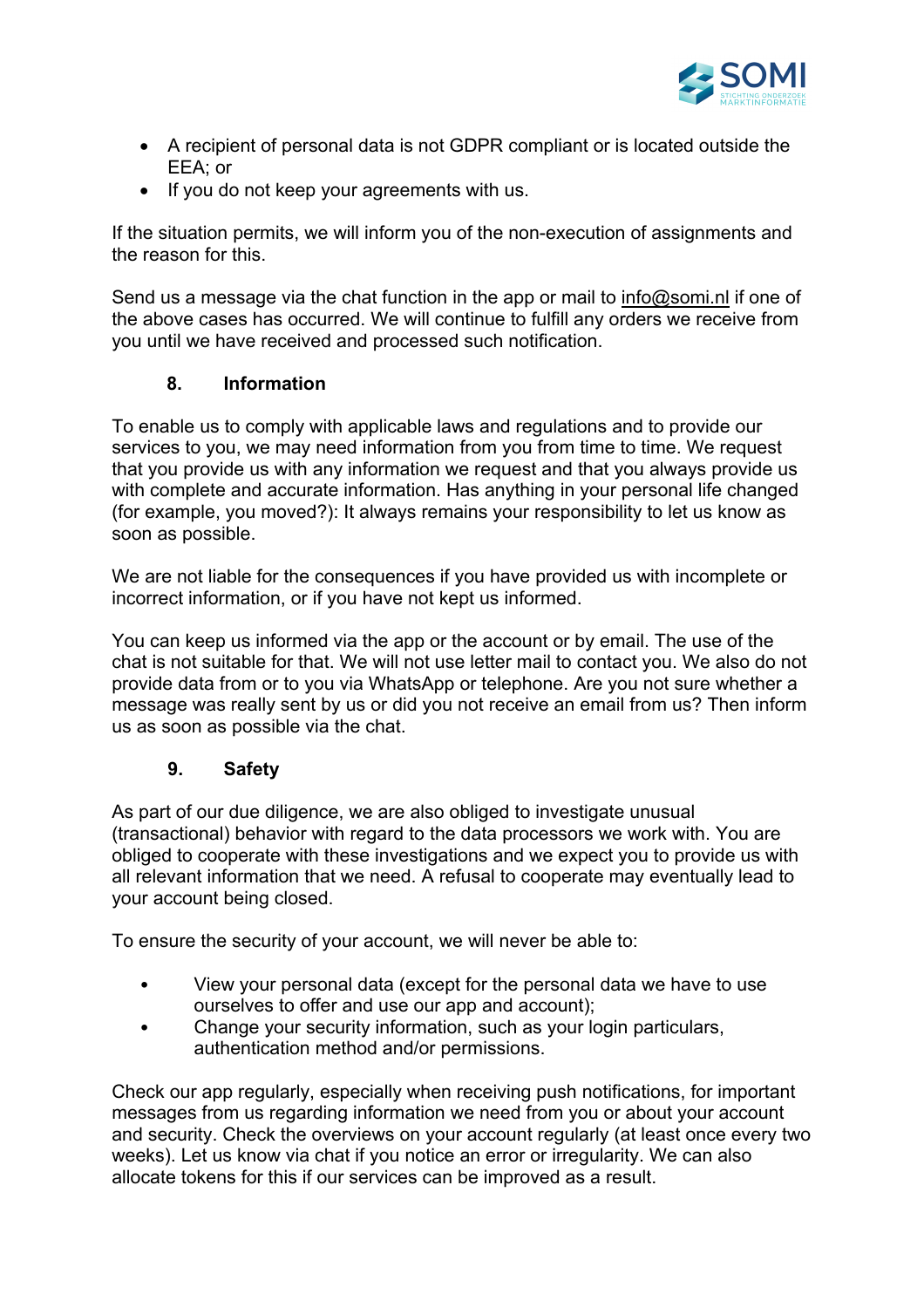

- A recipient of personal data is not GDPR compliant or is located outside the EEA; or
- If you do not keep your agreements with us.

If the situation permits, we will inform you of the non-execution of assignments and the reason for this.

Send us a message via the chat function in the app or mail to info@somi.nl if one of the above cases has occurred. We will continue to fulfill any orders we receive from you until we have received and processed such notification.

### **8. Information**

To enable us to comply with applicable laws and regulations and to provide our services to you, we may need information from you from time to time. We request that you provide us with any information we request and that you always provide us with complete and accurate information. Has anything in your personal life changed (for example, you moved?): It always remains your responsibility to let us know as soon as possible.

We are not liable for the consequences if you have provided us with incomplete or incorrect information, or if you have not kept us informed.

You can keep us informed via the app or the account or by email. The use of the chat is not suitable for that. We will not use letter mail to contact you. We also do not provide data from or to you via WhatsApp or telephone. Are you not sure whether a message was really sent by us or did you not receive an email from us? Then inform us as soon as possible via the chat.

### **9. Safety**

As part of our due diligence, we are also obliged to investigate unusual (transactional) behavior with regard to the data processors we work with. You are obliged to cooperate with these investigations and we expect you to provide us with all relevant information that we need. A refusal to cooperate may eventually lead to your account being closed.

To ensure the security of your account, we will never be able to:

- View your personal data (except for the personal data we have to use ourselves to offer and use our app and account);
- Change your security information, such as your login particulars, authentication method and/or permissions.

Check our app regularly, especially when receiving push notifications, for important messages from us regarding information we need from you or about your account and security. Check the overviews on your account regularly (at least once every two weeks). Let us know via chat if you notice an error or irregularity. We can also allocate tokens for this if our services can be improved as a result.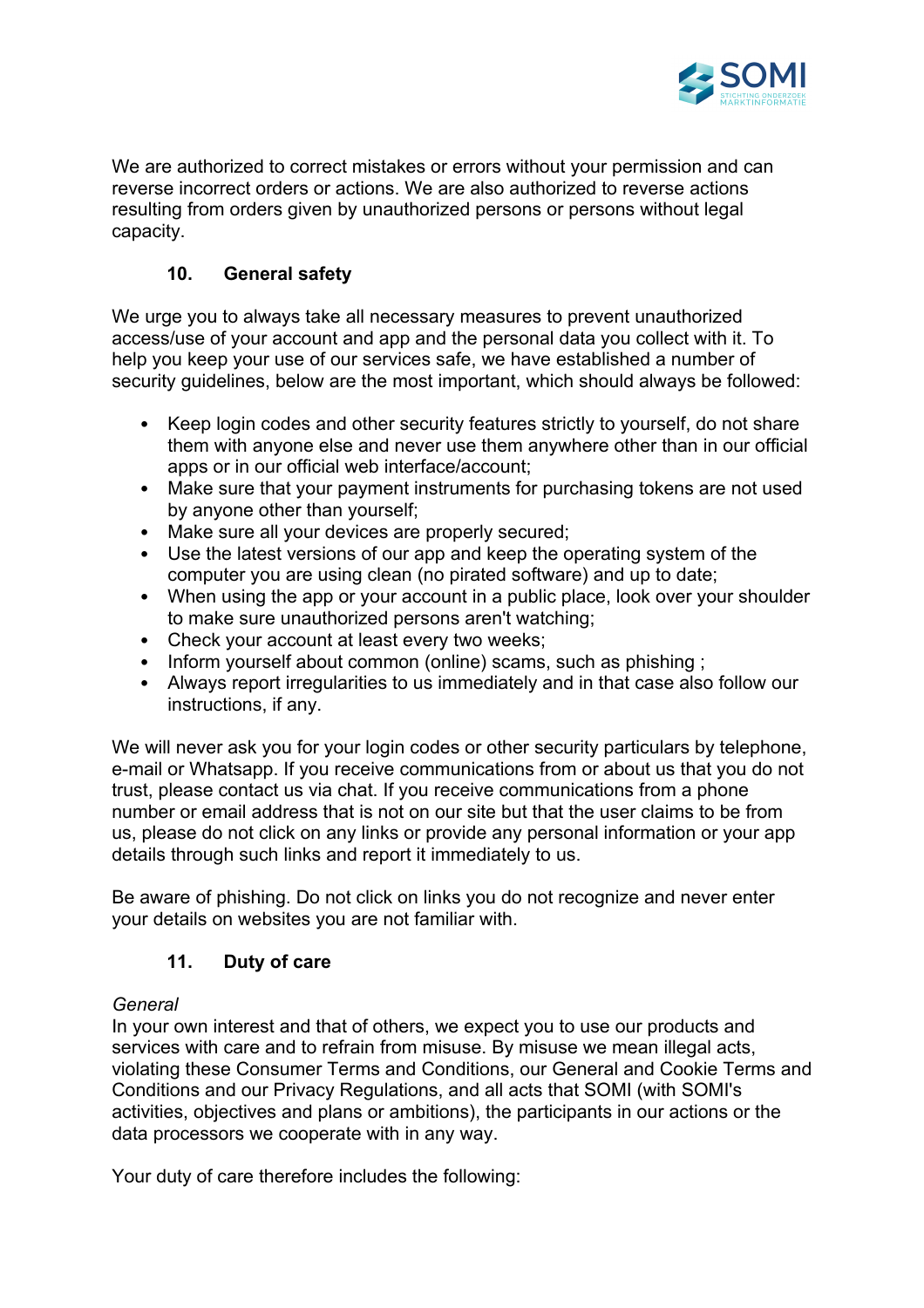

We are authorized to correct mistakes or errors without your permission and can reverse incorrect orders or actions. We are also authorized to reverse actions resulting from orders given by unauthorized persons or persons without legal capacity.

## **10. General safety**

We urge you to always take all necessary measures to prevent unauthorized access/use of your account and app and the personal data you collect with it. To help you keep your use of our services safe, we have established a number of security guidelines, below are the most important, which should always be followed:

- Keep login codes and other security features strictly to yourself, do not share them with anyone else and never use them anywhere other than in our official apps or in our official web interface/account;
- Make sure that your payment instruments for purchasing tokens are not used by anyone other than yourself;
- Make sure all your devices are properly secured;
- Use the latest versions of our app and keep the operating system of the computer you are using clean (no pirated software) and up to date;
- When using the app or your account in a public place, look over your shoulder to make sure unauthorized persons aren't watching;
- Check your account at least every two weeks;
- Inform yourself about common (online) scams, such as phishing;
- Always report irregularities to us immediately and in that case also follow our instructions, if any.

We will never ask you for your login codes or other security particulars by telephone, e-mail or Whatsapp. If you receive communications from or about us that you do not trust, please contact us via chat. If you receive communications from a phone number or email address that is not on our site but that the user claims to be from us, please do not click on any links or provide any personal information or your app details through such links and report it immediately to us.

Be aware of phishing. Do not click on links you do not recognize and never enter your details on websites you are not familiar with.

## **11. Duty of care**

### *General*

In your own interest and that of others, we expect you to use our products and services with care and to refrain from misuse. By misuse we mean illegal acts, violating these Consumer Terms and Conditions, our General and Cookie Terms and Conditions and our Privacy Regulations, and all acts that SOMI (with SOMI's activities, objectives and plans or ambitions), the participants in our actions or the data processors we cooperate with in any way.

Your duty of care therefore includes the following: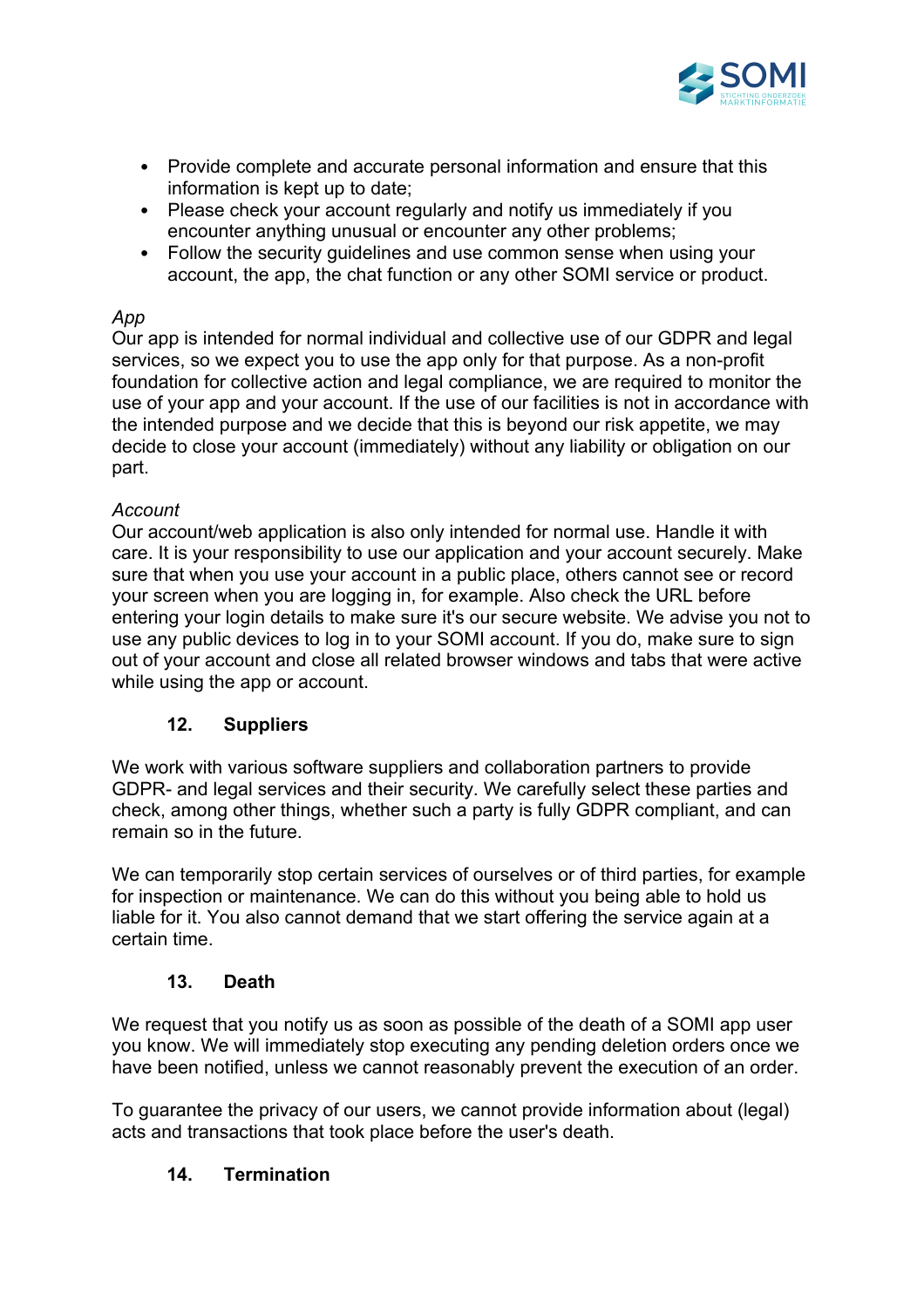

- Provide complete and accurate personal information and ensure that this information is kept up to date;
- Please check your account regularly and notify us immediately if you encounter anything unusual or encounter any other problems;
- Follow the security guidelines and use common sense when using your account, the app, the chat function or any other SOMI service or product.

### *App*

Our app is intended for normal individual and collective use of our GDPR and legal services, so we expect you to use the app only for that purpose. As a non-profit foundation for collective action and legal compliance, we are required to monitor the use of your app and your account. If the use of our facilities is not in accordance with the intended purpose and we decide that this is beyond our risk appetite, we may decide to close your account (immediately) without any liability or obligation on our part.

### *Account*

Our account/web application is also only intended for normal use. Handle it with care. It is your responsibility to use our application and your account securely. Make sure that when you use your account in a public place, others cannot see or record your screen when you are logging in, for example. Also check the URL before entering your login details to make sure it's our secure website. We advise you not to use any public devices to log in to your SOMI account. If you do, make sure to sign out of your account and close all related browser windows and tabs that were active while using the app or account.

## **12. Suppliers**

We work with various software suppliers and collaboration partners to provide GDPR- and legal services and their security. We carefully select these parties and check, among other things, whether such a party is fully GDPR compliant, and can remain so in the future.

We can temporarily stop certain services of ourselves or of third parties, for example for inspection or maintenance. We can do this without you being able to hold us liable for it. You also cannot demand that we start offering the service again at a certain time.

## **13. Death**

We request that you notify us as soon as possible of the death of a SOMI app user you know. We will immediately stop executing any pending deletion orders once we have been notified, unless we cannot reasonably prevent the execution of an order.

To guarantee the privacy of our users, we cannot provide information about (legal) acts and transactions that took place before the user's death.

## **14. Termination**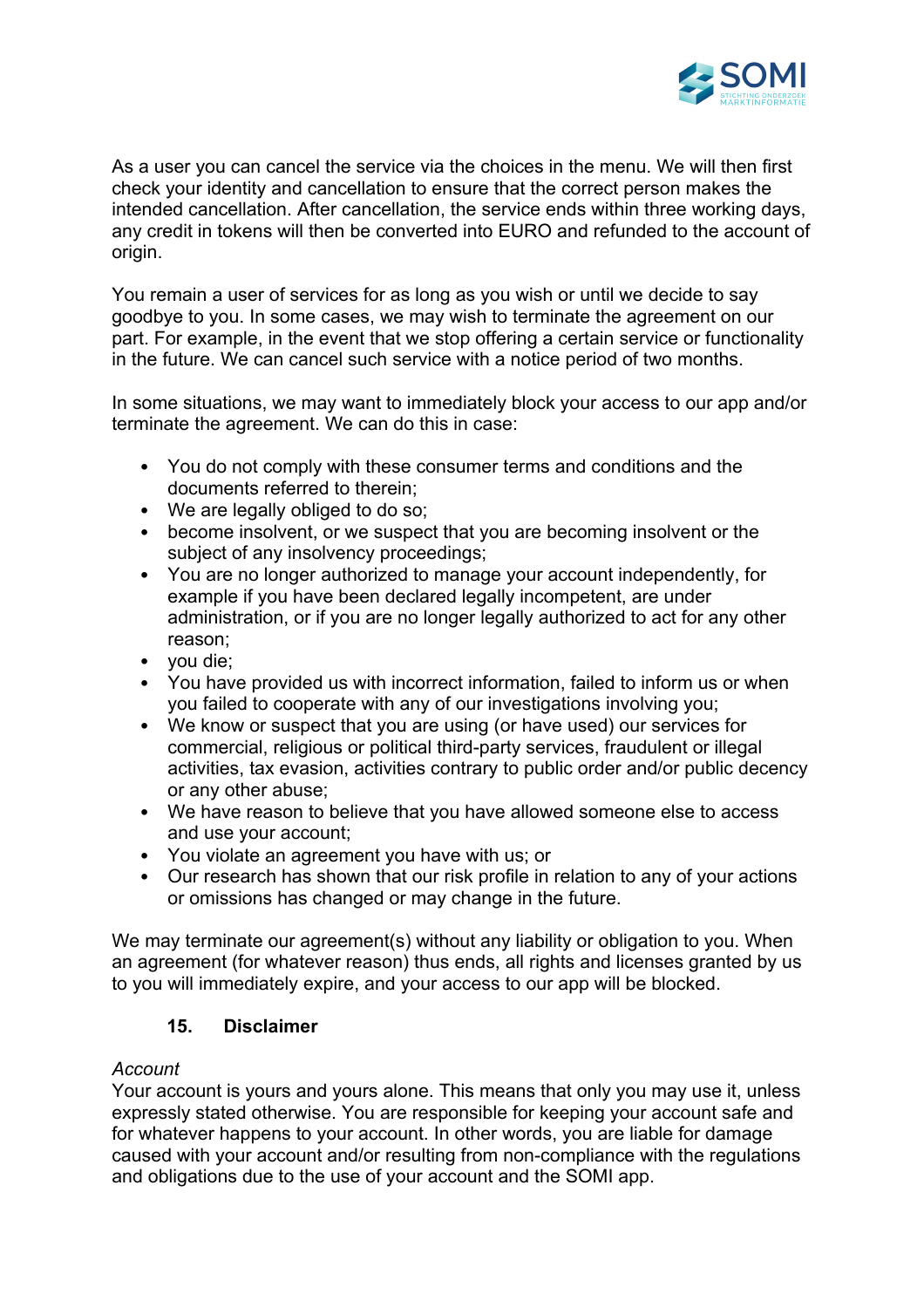

As a user you can cancel the service via the choices in the menu. We will then first check your identity and cancellation to ensure that the correct person makes the intended cancellation. After cancellation, the service ends within three working days, any credit in tokens will then be converted into EURO and refunded to the account of origin.

You remain a user of services for as long as you wish or until we decide to say goodbye to you. In some cases, we may wish to terminate the agreement on our part. For example, in the event that we stop offering a certain service or functionality in the future. We can cancel such service with a notice period of two months.

In some situations, we may want to immediately block your access to our app and/or terminate the agreement. We can do this in case:

- You do not comply with these consumer terms and conditions and the documents referred to therein;
- We are legally obliged to do so;
- become insolvent, or we suspect that you are becoming insolvent or the subject of any insolvency proceedings;
- You are no longer authorized to manage your account independently, for example if you have been declared legally incompetent, are under administration, or if you are no longer legally authorized to act for any other reason;
- you die;
- You have provided us with incorrect information, failed to inform us or when you failed to cooperate with any of our investigations involving you;
- We know or suspect that you are using (or have used) our services for commercial, religious or political third-party services, fraudulent or illegal activities, tax evasion, activities contrary to public order and/or public decency or any other abuse;
- We have reason to believe that you have allowed someone else to access and use your account;
- You violate an agreement you have with us; or
- Our research has shown that our risk profile in relation to any of your actions or omissions has changed or may change in the future.

We may terminate our agreement(s) without any liability or obligation to you. When an agreement (for whatever reason) thus ends, all rights and licenses granted by us to you will immediately expire, and your access to our app will be blocked.

### **15. Disclaimer**

### *Account*

Your account is yours and yours alone. This means that only you may use it, unless expressly stated otherwise. You are responsible for keeping your account safe and for whatever happens to your account. In other words, you are liable for damage caused with your account and/or resulting from non-compliance with the regulations and obligations due to the use of your account and the SOMI app.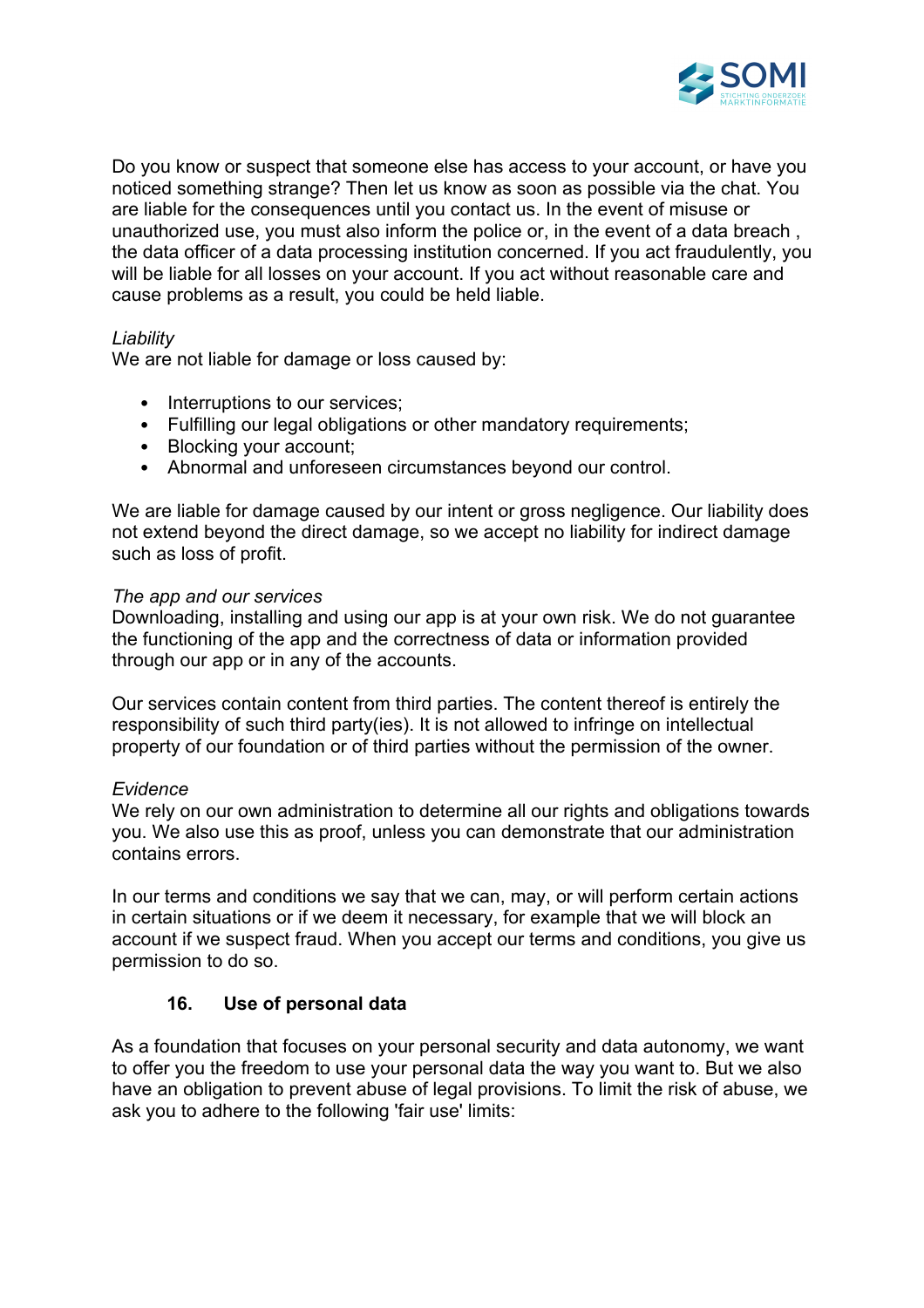

Do you know or suspect that someone else has access to your account, or have you noticed something strange? Then let us know as soon as possible via the chat. You are liable for the consequences until you contact us. In the event of misuse or unauthorized use, you must also inform the police or, in the event of a data breach , the data officer of a data processing institution concerned. If you act fraudulently, you will be liable for all losses on your account. If you act without reasonable care and cause problems as a result, you could be held liable.

#### *Liability*

We are not liable for damage or loss caused by:

- Interruptions to our services:
- Fulfilling our legal obligations or other mandatory requirements;
- Blocking your account;
- Abnormal and unforeseen circumstances beyond our control.

We are liable for damage caused by our intent or gross negligence. Our liability does not extend beyond the direct damage, so we accept no liability for indirect damage such as loss of profit.

#### *The app and our services*

Downloading, installing and using our app is at your own risk. We do not guarantee the functioning of the app and the correctness of data or information provided through our app or in any of the accounts.

Our services contain content from third parties. The content thereof is entirely the responsibility of such third party(ies). It is not allowed to infringe on intellectual property of our foundation or of third parties without the permission of the owner.

#### *Evidence*

We rely on our own administration to determine all our rights and obligations towards you. We also use this as proof, unless you can demonstrate that our administration contains errors.

In our terms and conditions we say that we can, may, or will perform certain actions in certain situations or if we deem it necessary, for example that we will block an account if we suspect fraud. When you accept our terms and conditions, you give us permission to do so.

### **16. Use of personal data**

As a foundation that focuses on your personal security and data autonomy, we want to offer you the freedom to use your personal data the way you want to. But we also have an obligation to prevent abuse of legal provisions. To limit the risk of abuse, we ask you to adhere to the following 'fair use' limits: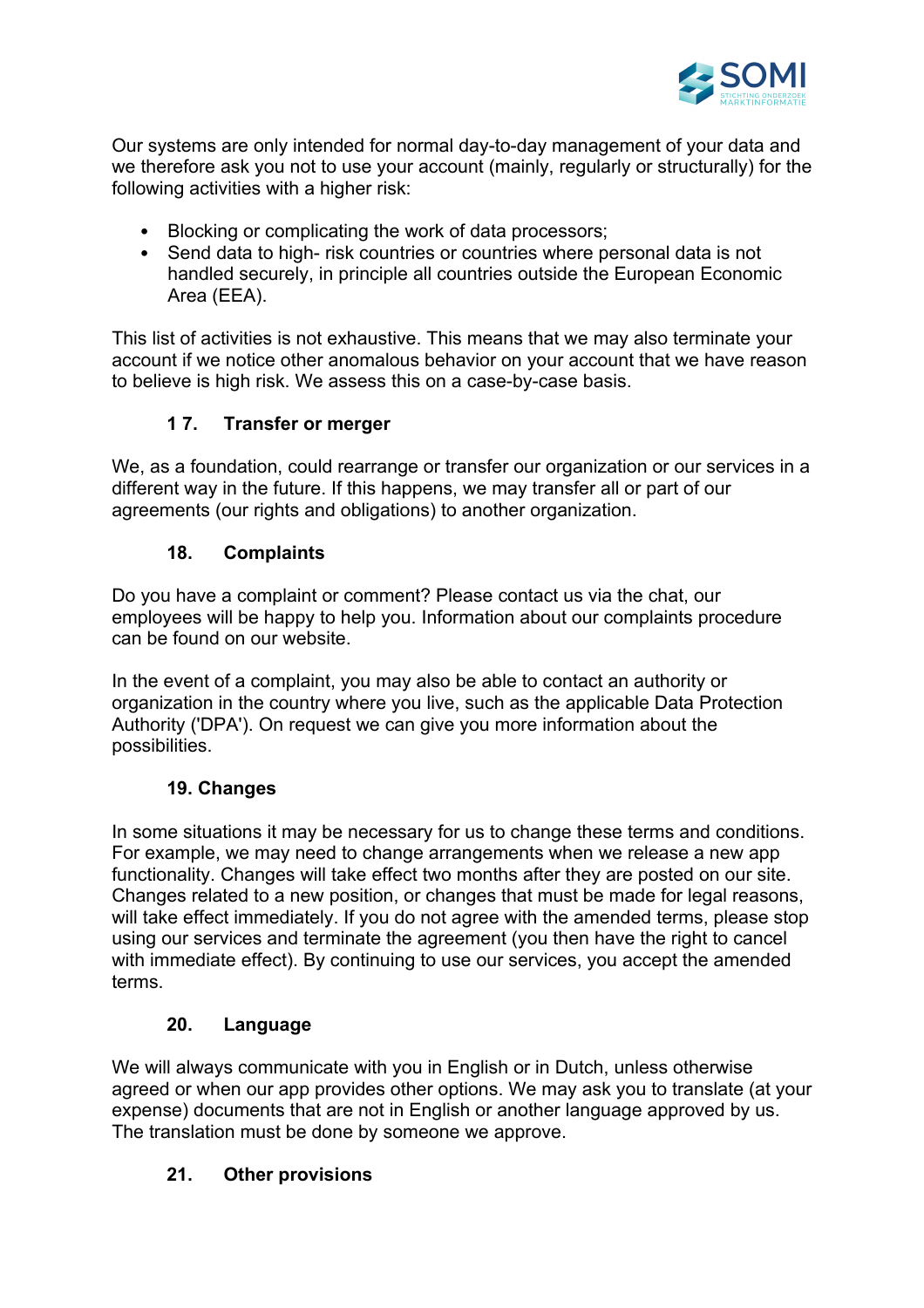

Our systems are only intended for normal day-to-day management of your data and we therefore ask you not to use your account (mainly, regularly or structurally) for the following activities with a higher risk:

- Blocking or complicating the work of data processors;
- Send data to high- risk countries or countries where personal data is not handled securely, in principle all countries outside the European Economic Area (EEA).

This list of activities is not exhaustive. This means that we may also terminate your account if we notice other anomalous behavior on your account that we have reason to believe is high risk. We assess this on a case-by-case basis.

## **1 7. Transfer or merger**

We, as a foundation, could rearrange or transfer our organization or our services in a different way in the future. If this happens, we may transfer all or part of our agreements (our rights and obligations) to another organization.

## **18. Complaints**

Do you have a complaint or comment? Please contact us via the chat, our employees will be happy to help you. Information about our complaints procedure can be found on our website.

In the event of a complaint, you may also be able to contact an authority or organization in the country where you live, such as the applicable Data Protection Authority ('DPA'). On request we can give you more information about the possibilities.

# **19. Changes**

In some situations it may be necessary for us to change these terms and conditions. For example, we may need to change arrangements when we release a new app functionality. Changes will take effect two months after they are posted on our site. Changes related to a new position, or changes that must be made for legal reasons, will take effect immediately. If you do not agree with the amended terms, please stop using our services and terminate the agreement (you then have the right to cancel with immediate effect). By continuing to use our services, you accept the amended terms.

# **20. Language**

We will always communicate with you in English or in Dutch, unless otherwise agreed or when our app provides other options. We may ask you to translate (at your expense) documents that are not in English or another language approved by us. The translation must be done by someone we approve.

## **21. Other provisions**